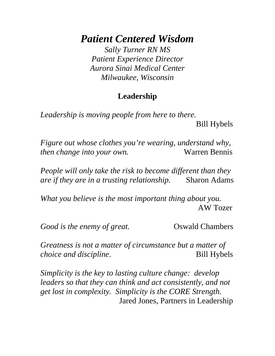*Patient Centered Wisdom* 

*Sally Turner RN MS Patient Experience Director Aurora Sinai Medical Center Milwaukee, Wisconsin* 

## **Leadership**

*Leadership is moving people from here to there.* 

Bill Hybels

*Figure out whose clothes you're wearing, understand why, then change into your own.* Warren Bennis

*People will only take the risk to become different than they are if they are in a trusting relationship.* Sharon Adams

*What you believe is the most important thing about you.* AW Tozer

*Good is the enemy of great.* Oswald Chambers

*Greatness is not a matter of circumstance but a matter of choice and discipline.* Bill Hybels

*Simplicity is the key to lasting culture change: develop leaders so that they can think and act consistently, and not get lost in complexity. Simplicity is the CORE Strength.*  Jared Jones, Partners in Leadership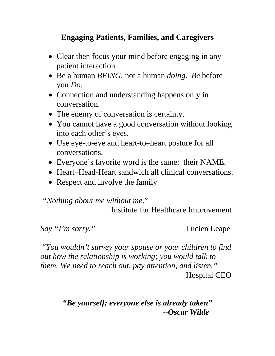## **Engaging Patients, Families, and Caregivers**

- Clear then focus your mind before engaging in any patient interaction.
- Be a human *BEING*, not a human *doing. Be* before you *Do.*
- Connection and understanding happens only in conversation.
- The enemy of conversation is certainty.
- You cannot have a good conversation without looking into each other's eyes.
- Use eye-to-eye and heart-to–heart posture for all conversations.
- Everyone's favorite word is the same: their NAME.
- Heart–Head-Heart sandwich all clinical conversations.
- Respect and involve the family

*"Nothing about me without me*."

Institute for Healthcare Improvement

*Say "I'm sorry."* Lucien Leape

 "*You wouldn't survey your spouse or your children to find out how the relationship is working; you would talk to them. We need to reach out, pay attention, and listen."* Hospital CEO

> *"Be yourself; everyone else is already taken" --Oscar Wilde*